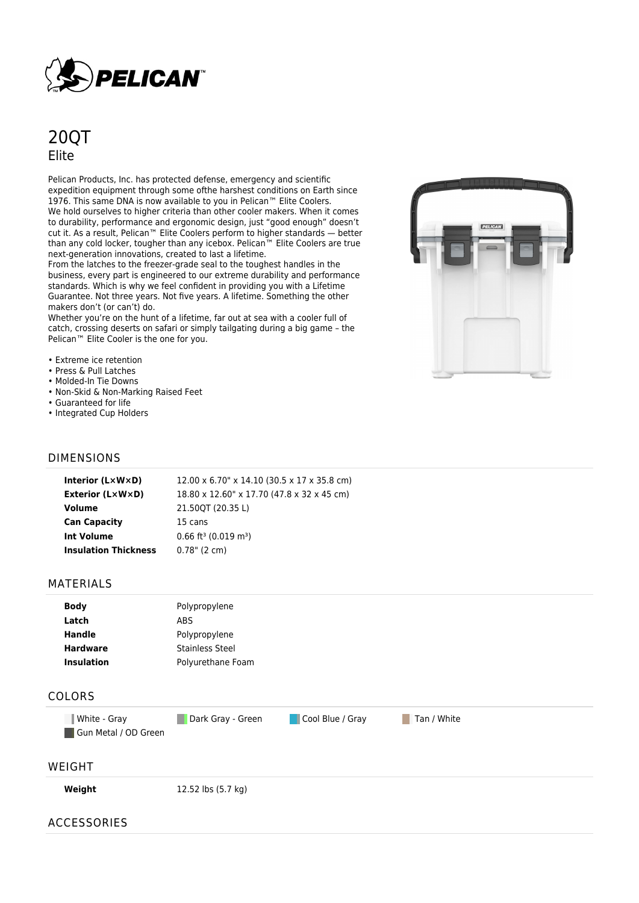

# 20QT Elite

Pelican Products, Inc. has protected defense, emergency and scientific expedition equipment through some ofthe harshest conditions on Earth since 1976. This same DNA is now available to you in Pelican™ Elite Coolers. We hold ourselves to higher criteria than other cooler makers. When it comes to durability, performance and ergonomic design, just "good enough" doesn't cut it. As a result, Pelican™ Elite Coolers perform to higher standards — better than any cold locker, tougher than any icebox. Pelican™ Elite Coolers are true next-generation innovations, created to last a lifetime.

From the latches to the freezer-grade seal to the toughest handles in the business, every part is engineered to our extreme durability and performance standards. Which is why we feel confident in providing you with a Lifetime Guarantee. Not three years. Not five years. A lifetime. Something the other makers don't (or can't) do.

Whether you're on the hunt of a lifetime, far out at sea with a cooler full of catch, crossing deserts on safari or simply tailgating during a big game – the Pelican™ Elite Cooler is the one for you.

- Extreme ice retention
- Press & Pull Latches
- Molded-In Tie Downs
- Non-Skid & Non-Marking Raised Feet
- Guaranteed for life
- Integrated Cup Holders

### DIMENSIONS

| Interior (LxWxD)            | 12.00 x 6.70" x 14.10 (30.5 x 17 x 35.8 cm)    |  |
|-----------------------------|------------------------------------------------|--|
| <b>Exterior (L×W×D)</b>     | 18.80 x 12.60" x 17.70 (47.8 x 32 x 45 cm)     |  |
| Volume                      | 21.50QT (20.35 L)                              |  |
| <b>Can Capacity</b>         | 15 cans                                        |  |
| <b>Int Volume</b>           | $0.66$ ft <sup>3</sup> (0.019 m <sup>3</sup> ) |  |
| <b>Insulation Thickness</b> | $0.78$ " (2 cm)                                |  |

#### MATERIALS

| <b>Body</b>       | Polypropylene     |  |
|-------------------|-------------------|--|
| Latch             | ABS               |  |
| <b>Handle</b>     | Polypropylene     |  |
| <b>Hardware</b>   | Stainless Steel   |  |
| <b>Insulation</b> | Polyurethane Foam |  |
|                   |                   |  |

## COLORS

White - Gray **Dark Gray - Green** Cool Blue / Gray Tan / White Gun Metal / OD Green

# WEIGHT

**Weight** 12.52 lbs (5.7 kg)

### ACCESSORIES